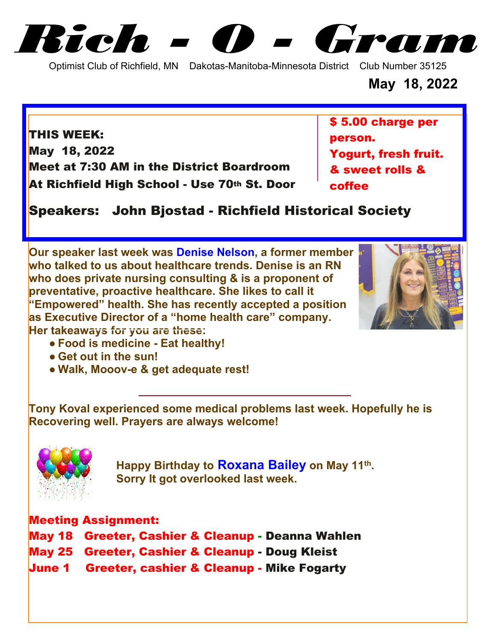*Rich - O - Gram*

Optimist Club of Richfield, MN Dakotas-Manitoba-Minnesota District Club Number 35125

**May 18, 2022**

**THIS WEEK: May 18, 2022 Meet at 7:30 AM in the District Boardroom At Richfield High School - Use 70th St. Door** **\$ 5.00 charge per person. Yogurt, fresh fruit. & sweet rolls & coffee**

**Speakers: John Bjostad - Richfield Historical Society**

**Our speaker last week was Denise Nelson, a former member who talked to us about healthcare trends. Denise is an RN who does private nursing consulting & is a proponent of preventative, proactive healthcare. She likes to call it "Empowered" health. She has recently accepted a position as Executive Director of a "home health care" company. Her takeaways for you are these:**



- **● Food is medicine Eat healthy!**
- **● Get out in the sun!**
- **● Walk, Mooov-e & get adequate rest!**

**Tony Koval experienced some medical problems last week. Hopefully he is Recovering well. Prayers are always welcome!**



**12** Happy Birthday to **Roxana Bailey** on May 11<sup>th</sup>.  **Sorry It got overlooked last week.**

## **Meeting Assignment:**

- **May 18 Greeter, Cashier & Cleanup - Deanna Wahlen**
- **May 25 Greeter, Cashier & Cleanup Doug Kleist**
- **June 1 Greeter, cashier & Cleanup - Mike Fogarty**